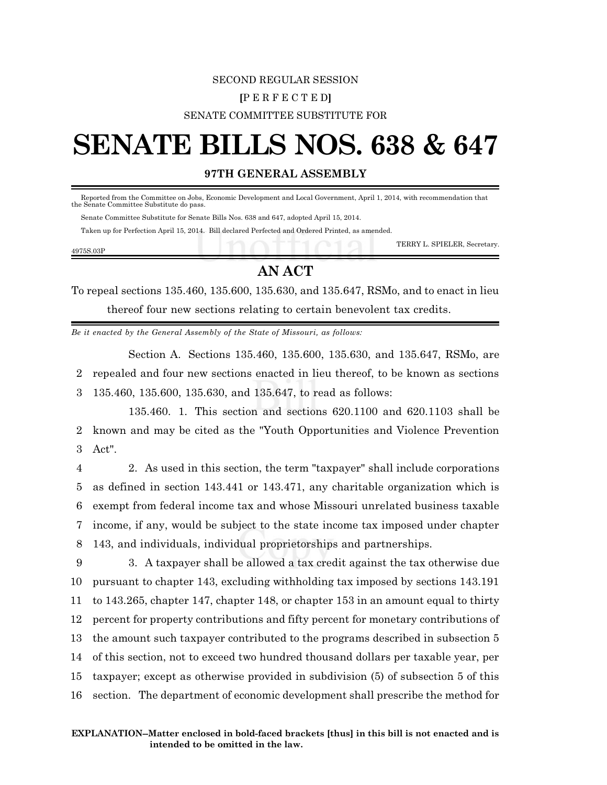### SECOND REGULAR SESSION **[**P E R F E C T E D**]** SENATE COMMITTEE SUBSTITUTE FOR

# **SENATE BILLS NOS. 638 & 647**

#### **97TH GENERAL ASSEMBLY**

 Reported from the Committee on Jobs, Economic Development and Local Government, April 1, 2014, with recommendation that the Senate Committee Substitute do pass.

Senate Committee Substitute for Senate Bills Nos. 638 and 647, adopted April 15, 2014.

Taken up for Perfection April 15, 2014. Bill declared Perfected and Ordered Printed, as amended.

|           | TERRY L. SPIELER, Secretary. |
|-----------|------------------------------|
| 4975S.03P |                              |

## **AN ACT**

To repeal sections 135.460, 135.600, 135.630, and 135.647, RSMo, and to enact in lieu thereof four new sections relating to certain benevolent tax credits.

*Be it enacted by the General Assembly of the State of Missouri, as follows:*

Section A. Sections 135.460, 135.600, 135.630, and 135.647, RSMo, are 2 repealed and four new sections enacted in lieu thereof, to be known as sections

3 135.460, 135.600, 135.630, and 135.647, to read as follows:

135.460. 1. This section and sections 620.1100 and 620.1103 shall be 2 known and may be cited as the "Youth Opportunities and Violence Prevention 3 Act".

 2. As used in this section, the term "taxpayer" shall include corporations as defined in section 143.441 or 143.471, any charitable organization which is exempt from federal income tax and whose Missouri unrelated business taxable income, if any, would be subject to the state income tax imposed under chapter 143, and individuals, individual proprietorships and partnerships.

 3. A taxpayer shall be allowed a tax credit against the tax otherwise due pursuant to chapter 143, excluding withholding tax imposed by sections 143.191 to 143.265, chapter 147, chapter 148, or chapter 153 in an amount equal to thirty percent for property contributions and fifty percent for monetary contributions of the amount such taxpayer contributed to the programs described in subsection 5 of this section, not to exceed two hundred thousand dollars per taxable year, per taxpayer; except as otherwise provided in subdivision (5) of subsection 5 of this section. The department of economic development shall prescribe the method for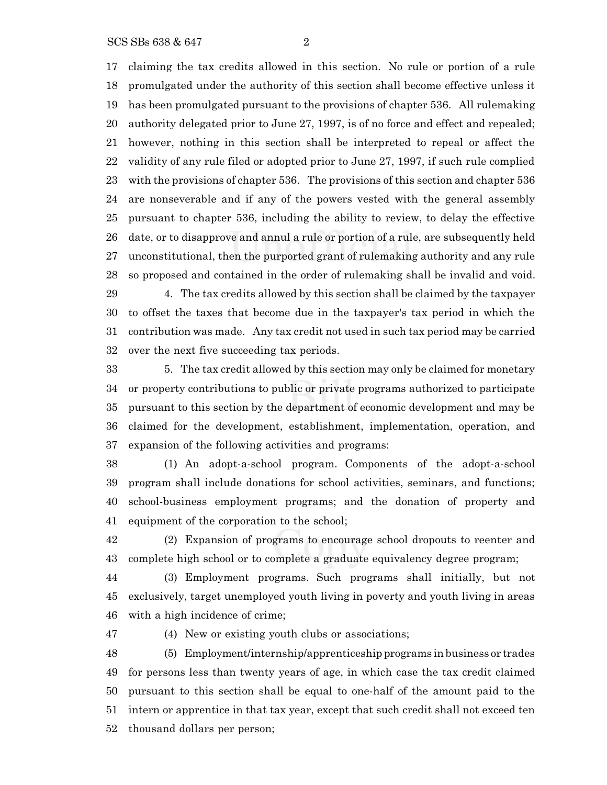claiming the tax credits allowed in this section. No rule or portion of a rule promulgated under the authority of this section shall become effective unless it has been promulgated pursuant to the provisions of chapter 536. All rulemaking authority delegated prior to June 27, 1997, is of no force and effect and repealed; however, nothing in this section shall be interpreted to repeal or affect the validity of any rule filed or adopted prior to June 27, 1997, if such rule complied with the provisions of chapter 536. The provisions of this section and chapter 536 are nonseverable and if any of the powers vested with the general assembly pursuant to chapter 536, including the ability to review, to delay the effective date, or to disapprove and annul a rule or portion of a rule, are subsequently held unconstitutional, then the purported grant of rulemaking authority and any rule so proposed and contained in the order of rulemaking shall be invalid and void. 4. The tax credits allowed by this section shall be claimed by the taxpayer to offset the taxes that become due in the taxpayer's tax period in which the

 contribution was made. Any tax credit not used in such tax period may be carried over the next five succeeding tax periods.

 5. The tax credit allowed by this section may only be claimed for monetary or property contributions to public or private programs authorized to participate pursuant to this section by the department of economic development and may be claimed for the development, establishment, implementation, operation, and expansion of the following activities and programs:

 (1) An adopt-a-school program. Components of the adopt-a-school program shall include donations for school activities, seminars, and functions; school-business employment programs; and the donation of property and equipment of the corporation to the school;

 (2) Expansion of programs to encourage school dropouts to reenter and complete high school or to complete a graduate equivalency degree program;

 (3) Employment programs. Such programs shall initially, but not exclusively, target unemployed youth living in poverty and youth living in areas with a high incidence of crime;

(4) New or existing youth clubs or associations;

 (5) Employment/internship/apprenticeship programs in business or trades for persons less than twenty years of age, in which case the tax credit claimed pursuant to this section shall be equal to one-half of the amount paid to the intern or apprentice in that tax year, except that such credit shall not exceed ten thousand dollars per person;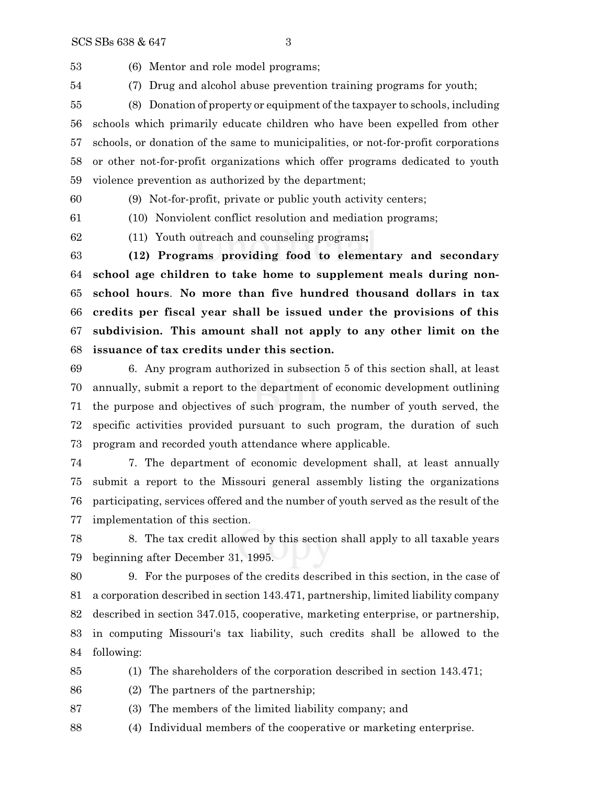(6) Mentor and role model programs;

(7) Drug and alcohol abuse prevention training programs for youth;

 (8) Donation of property or equipment ofthe taxpayer to schools, including schools which primarily educate children who have been expelled from other schools, or donation of the same to municipalities, or not-for-profit corporations or other not-for-profit organizations which offer programs dedicated to youth violence prevention as authorized by the department;

(9) Not-for-profit, private or public youth activity centers;

(10) Nonviolent conflict resolution and mediation programs;

(11) Youth outreach and counseling programs**;**

 **(12) Programs providing food to elementary and secondary school age children to take home to supplement meals during non- school hours**. **No more than five hundred thousand dollars in tax credits per fiscal year shall be issued under the provisions of this subdivision. This amount shall not apply to any other limit on the issuance of tax credits under this section.**

 6. Any program authorized in subsection 5 of this section shall, at least annually, submit a report to the department of economic development outlining the purpose and objectives of such program, the number of youth served, the specific activities provided pursuant to such program, the duration of such program and recorded youth attendance where applicable.

 7. The department of economic development shall, at least annually submit a report to the Missouri general assembly listing the organizations participating, services offered and the number of youth served as the result of the implementation of this section.

 8. The tax credit allowed by this section shall apply to all taxable years beginning after December 31, 1995.

 9. For the purposes of the credits described in this section, in the case of a corporation described in section 143.471, partnership, limited liability company described in section 347.015, cooperative, marketing enterprise, or partnership, in computing Missouri's tax liability, such credits shall be allowed to the following:

(1) The shareholders of the corporation described in section 143.471;

(2) The partners of the partnership;

(3) The members of the limited liability company; and

(4) Individual members of the cooperative or marketing enterprise.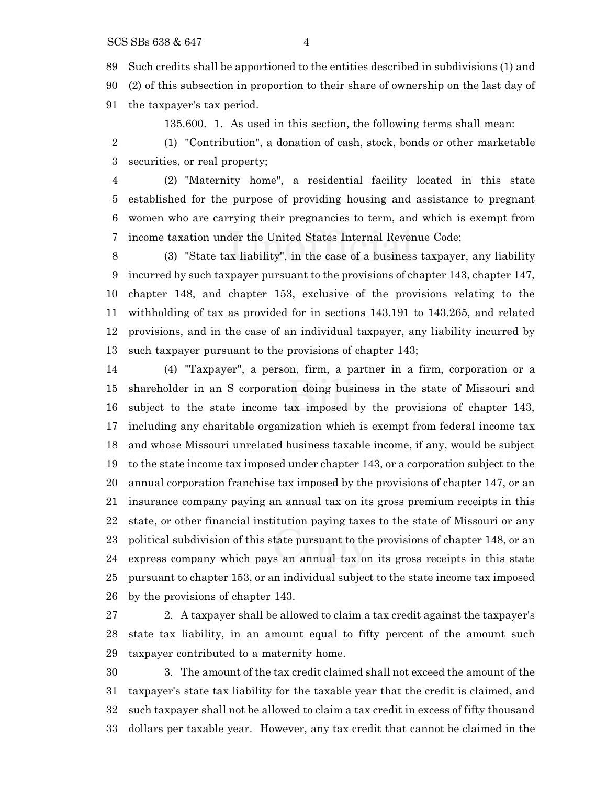Such credits shall be apportioned to the entities described in subdivisions (1) and (2) of this subsection in proportion to their share of ownership on the last day of the taxpayer's tax period.

135.600. 1. As used in this section, the following terms shall mean:

 (1) "Contribution", a donation of cash, stock, bonds or other marketable securities, or real property;

 (2) "Maternity home", a residential facility located in this state established for the purpose of providing housing and assistance to pregnant women who are carrying their pregnancies to term, and which is exempt from income taxation under the United States Internal Revenue Code;

 (3) "State tax liability", in the case of a business taxpayer, any liability incurred by such taxpayer pursuant to the provisions of chapter 143, chapter 147, chapter 148, and chapter 153, exclusive of the provisions relating to the withholding of tax as provided for in sections 143.191 to 143.265, and related provisions, and in the case of an individual taxpayer, any liability incurred by such taxpayer pursuant to the provisions of chapter 143;

 (4) "Taxpayer", a person, firm, a partner in a firm, corporation or a shareholder in an S corporation doing business in the state of Missouri and subject to the state income tax imposed by the provisions of chapter 143, including any charitable organization which is exempt from federal income tax and whose Missouri unrelated business taxable income, if any, would be subject to the state income tax imposed under chapter 143, or a corporation subject to the annual corporation franchise tax imposed by the provisions of chapter 147, or an insurance company paying an annual tax on its gross premium receipts in this state, or other financial institution paying taxes to the state of Missouri or any political subdivision of this state pursuant to the provisions of chapter 148, or an express company which pays an annual tax on its gross receipts in this state pursuant to chapter 153, or an individual subject to the state income tax imposed by the provisions of chapter 143.

 2. A taxpayer shall be allowed to claim a tax credit against the taxpayer's state tax liability, in an amount equal to fifty percent of the amount such taxpayer contributed to a maternity home.

 3. The amount of the tax credit claimed shall not exceed the amount of the taxpayer's state tax liability for the taxable year that the credit is claimed, and such taxpayer shall not be allowed to claim a tax credit in excess of fifty thousand dollars per taxable year. However, any tax credit that cannot be claimed in the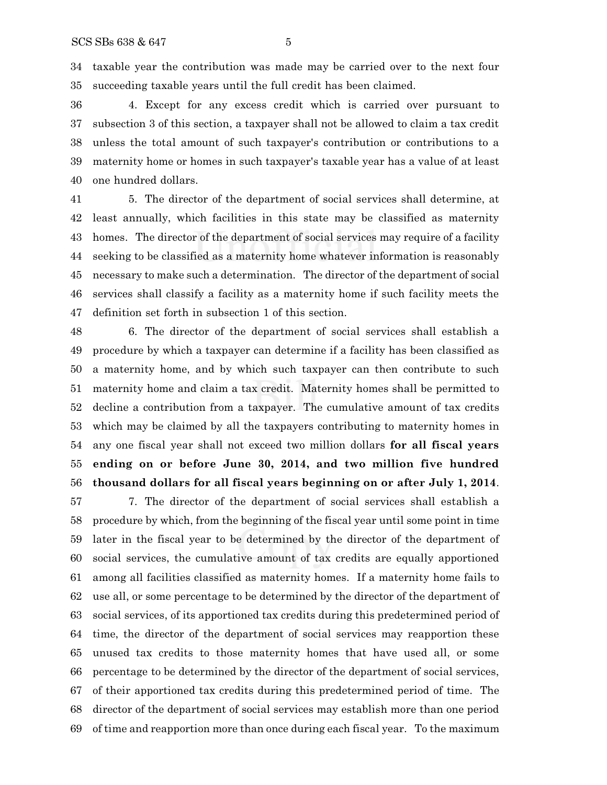taxable year the contribution was made may be carried over to the next four succeeding taxable years until the full credit has been claimed.

 4. Except for any excess credit which is carried over pursuant to subsection 3 of this section, a taxpayer shall not be allowed to claim a tax credit unless the total amount of such taxpayer's contribution or contributions to a maternity home or homes in such taxpayer's taxable year has a value of at least one hundred dollars.

 5. The director of the department of social services shall determine, at least annually, which facilities in this state may be classified as maternity homes. The director of the department of social services may require of a facility seeking to be classified as a maternity home whatever information is reasonably necessary to make such a determination. The director of the department of social services shall classify a facility as a maternity home if such facility meets the definition set forth in subsection 1 of this section.

 6. The director of the department of social services shall establish a procedure by which a taxpayer can determine if a facility has been classified as a maternity home, and by which such taxpayer can then contribute to such maternity home and claim a tax credit. Maternity homes shall be permitted to decline a contribution from a taxpayer. The cumulative amount of tax credits which may be claimed by all the taxpayers contributing to maternity homes in any one fiscal year shall not exceed two million dollars **for all fiscal years ending on or before June 30, 2014, and two million five hundred thousand dollars for all fiscal years beginning on or after July 1, 2014**.

 7. The director of the department of social services shall establish a procedure by which, from the beginning of the fiscal year until some point in time later in the fiscal year to be determined by the director of the department of social services, the cumulative amount of tax credits are equally apportioned among all facilities classified as maternity homes. If a maternity home fails to use all, or some percentage to be determined by the director of the department of social services, of its apportioned tax credits during this predetermined period of time, the director of the department of social services may reapportion these unused tax credits to those maternity homes that have used all, or some percentage to be determined by the director of the department of social services, of their apportioned tax credits during this predetermined period of time. The director of the department of social services may establish more than one period of time and reapportion more than once during each fiscal year. To the maximum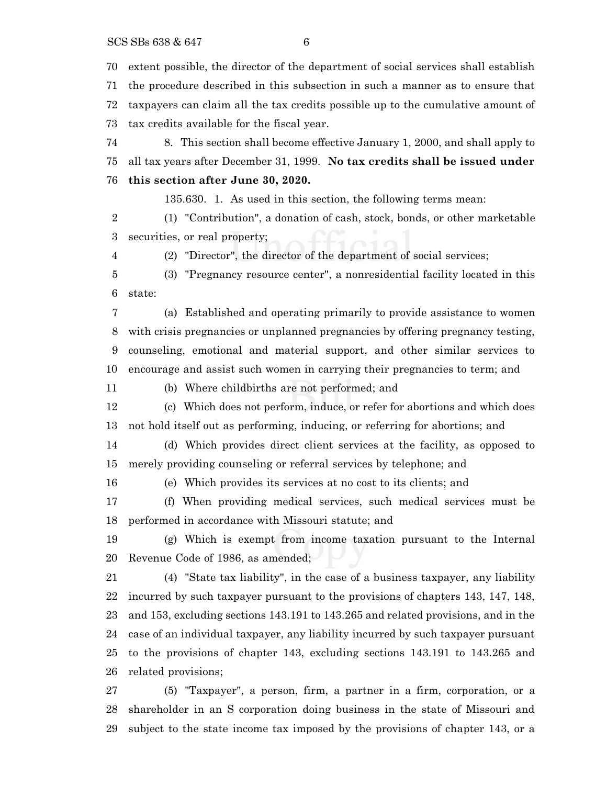SCS SBs 638 & 647 6

extent possible, the director of the department of social services shall establish

 the procedure described in this subsection in such a manner as to ensure that taxpayers can claim all the tax credits possible up to the cumulative amount of tax credits available for the fiscal year.

 8. This section shall become effective January 1, 2000, and shall apply to all tax years after December 31, 1999. **No tax credits shall be issued under**

#### **this section after June 30, 2020.**

135.630. 1. As used in this section, the following terms mean:

 (1) "Contribution", a donation of cash, stock, bonds, or other marketable securities, or real property;

(2) "Director", the director of the department of social services;

 (3) "Pregnancy resource center", a nonresidential facility located in this state:

 (a) Established and operating primarily to provide assistance to women with crisis pregnancies or unplanned pregnancies by offering pregnancy testing, counseling, emotional and material support, and other similar services to encourage and assist such women in carrying their pregnancies to term; and

(b) Where childbirths are not performed; and

 (c) Which does not perform, induce, or refer for abortions and which does not hold itself out as performing, inducing, or referring for abortions; and

 (d) Which provides direct client services at the facility, as opposed to merely providing counseling or referral services by telephone; and

(e) Which provides its services at no cost to its clients; and

 (f) When providing medical services, such medical services must be performed in accordance with Missouri statute; and

 (g) Which is exempt from income taxation pursuant to the Internal Revenue Code of 1986, as amended;

 (4) "State tax liability", in the case of a business taxpayer, any liability incurred by such taxpayer pursuant to the provisions of chapters 143, 147, 148, and 153, excluding sections 143.191 to 143.265 and related provisions, and in the case of an individual taxpayer, any liability incurred by such taxpayer pursuant to the provisions of chapter 143, excluding sections 143.191 to 143.265 and related provisions;

 (5) "Taxpayer", a person, firm, a partner in a firm, corporation, or a shareholder in an S corporation doing business in the state of Missouri and subject to the state income tax imposed by the provisions of chapter 143, or a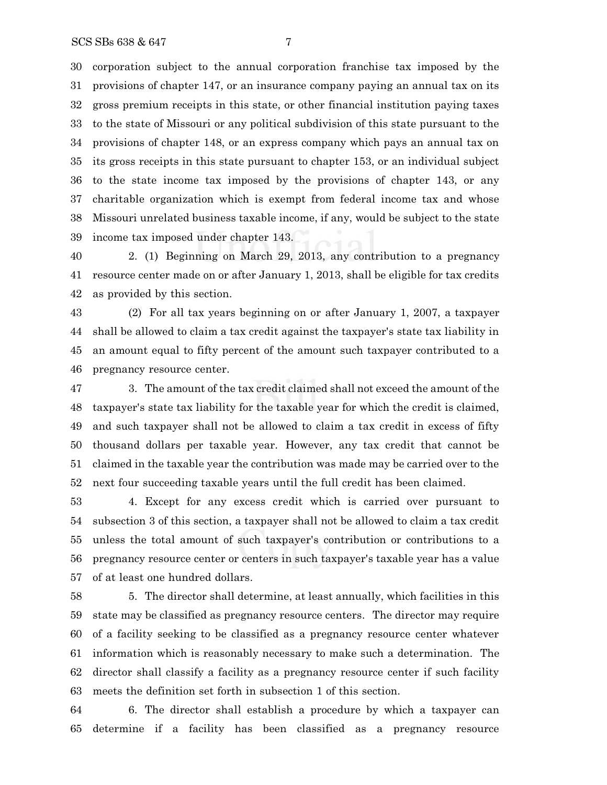corporation subject to the annual corporation franchise tax imposed by the provisions of chapter 147, or an insurance company paying an annual tax on its gross premium receipts in this state, or other financial institution paying taxes to the state of Missouri or any political subdivision of this state pursuant to the provisions of chapter 148, or an express company which pays an annual tax on its gross receipts in this state pursuant to chapter 153, or an individual subject to the state income tax imposed by the provisions of chapter 143, or any charitable organization which is exempt from federal income tax and whose Missouri unrelated business taxable income, if any, would be subject to the state income tax imposed under chapter 143.

 2. (1) Beginning on March 29, 2013, any contribution to a pregnancy resource center made on or after January 1, 2013, shall be eligible for tax credits as provided by this section.

 (2) For all tax years beginning on or after January 1, 2007, a taxpayer shall be allowed to claim a tax credit against the taxpayer's state tax liability in an amount equal to fifty percent of the amount such taxpayer contributed to a pregnancy resource center.

 3. The amount of the tax credit claimed shall not exceed the amount of the taxpayer's state tax liability for the taxable year for which the credit is claimed, and such taxpayer shall not be allowed to claim a tax credit in excess of fifty thousand dollars per taxable year. However, any tax credit that cannot be claimed in the taxable year the contribution was made may be carried over to the next four succeeding taxable years until the full credit has been claimed.

 4. Except for any excess credit which is carried over pursuant to subsection 3 of this section, a taxpayer shall not be allowed to claim a tax credit unless the total amount of such taxpayer's contribution or contributions to a pregnancy resource center or centers in such taxpayer's taxable year has a value of at least one hundred dollars.

 5. The director shall determine, at least annually, which facilities in this state may be classified as pregnancy resource centers. The director may require of a facility seeking to be classified as a pregnancy resource center whatever information which is reasonably necessary to make such a determination. The director shall classify a facility as a pregnancy resource center if such facility meets the definition set forth in subsection 1 of this section.

 6. The director shall establish a procedure by which a taxpayer can determine if a facility has been classified as a pregnancy resource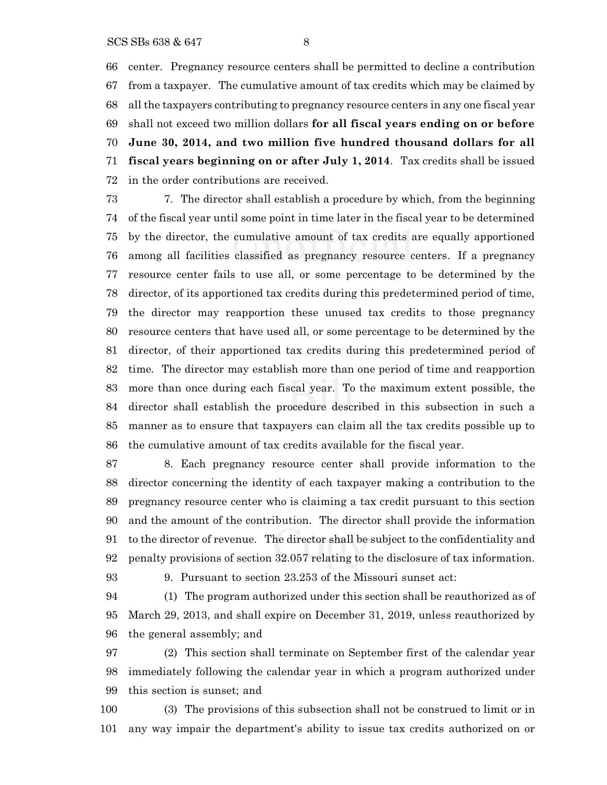center. Pregnancy resource centers shall be permitted to decline a contribution from a taxpayer. The cumulative amount of tax credits which may be claimed by all the taxpayers contributing to pregnancy resource centers in any one fiscal year shall not exceed two million dollars **for all fiscal years ending on or before June 30, 2014, and two million five hundred thousand dollars for all fiscal years beginning on or after July 1, 2014**. Tax credits shall be issued in the order contributions are received.

 7. The director shall establish a procedure by which, from the beginning of the fiscal year until some point in time later in the fiscal year to be determined by the director, the cumulative amount of tax credits are equally apportioned among all facilities classified as pregnancy resource centers. If a pregnancy resource center fails to use all, or some percentage to be determined by the director, of its apportioned tax credits during this predetermined period of time, the director may reapportion these unused tax credits to those pregnancy resource centers that have used all, or some percentage to be determined by the director, of their apportioned tax credits during this predetermined period of time. The director may establish more than one period of time and reapportion more than once during each fiscal year. To the maximum extent possible, the director shall establish the procedure described in this subsection in such a manner as to ensure that taxpayers can claim all the tax credits possible up to the cumulative amount of tax credits available for the fiscal year.

 8. Each pregnancy resource center shall provide information to the director concerning the identity of each taxpayer making a contribution to the pregnancy resource center who is claiming a tax credit pursuant to this section and the amount of the contribution. The director shall provide the information to the director of revenue. The director shall be subject to the confidentiality and penalty provisions of section 32.057 relating to the disclosure of tax information.

9. Pursuant to section 23.253 of the Missouri sunset act:

 (1) The program authorized under this section shall be reauthorized as of March 29, 2013, and shall expire on December 31, 2019, unless reauthorized by the general assembly; and

 (2) This section shall terminate on September first of the calendar year immediately following the calendar year in which a program authorized under this section is sunset; and

 (3) The provisions of this subsection shall not be construed to limit or in any way impair the department's ability to issue tax credits authorized on or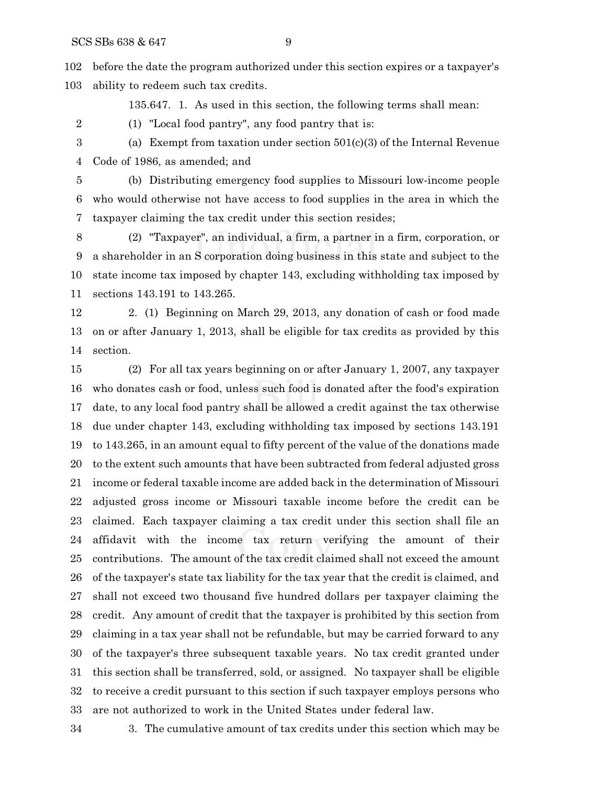before the date the program authorized under this section expires or a taxpayer's ability to redeem such tax credits.

135.647. 1. As used in this section, the following terms shall mean:

(1) "Local food pantry", any food pantry that is:

 (a) Exempt from taxation under section 501(c)(3) of the Internal Revenue Code of 1986, as amended; and

 (b) Distributing emergency food supplies to Missouri low-income people who would otherwise not have access to food supplies in the area in which the taxpayer claiming the tax credit under this section resides;

 (2) "Taxpayer", an individual, a firm, a partner in a firm, corporation, or a shareholder in an S corporation doing business in this state and subject to the state income tax imposed by chapter 143, excluding withholding tax imposed by sections 143.191 to 143.265.

 2. (1) Beginning on March 29, 2013, any donation of cash or food made on or after January 1, 2013, shall be eligible for tax credits as provided by this section.

 (2) For all tax years beginning on or after January 1, 2007, any taxpayer who donates cash or food, unless such food is donated after the food's expiration date, to any local food pantry shall be allowed a credit against the tax otherwise due under chapter 143, excluding withholding tax imposed by sections 143.191 to 143.265, in an amount equal to fifty percent of the value of the donations made to the extent such amounts that have been subtracted from federal adjusted gross income or federal taxable income are added back in the determination of Missouri adjusted gross income or Missouri taxable income before the credit can be claimed. Each taxpayer claiming a tax credit under this section shall file an affidavit with the income tax return verifying the amount of their contributions. The amount of the tax credit claimed shall not exceed the amount of the taxpayer's state tax liability for the tax year that the credit is claimed, and shall not exceed two thousand five hundred dollars per taxpayer claiming the credit. Any amount of credit that the taxpayer is prohibited by this section from claiming in a tax year shall not be refundable, but may be carried forward to any of the taxpayer's three subsequent taxable years. No tax credit granted under this section shall be transferred, sold, or assigned. No taxpayer shall be eligible to receive a credit pursuant to this section if such taxpayer employs persons who are not authorized to work in the United States under federal law.

3. The cumulative amount of tax credits under this section which may be